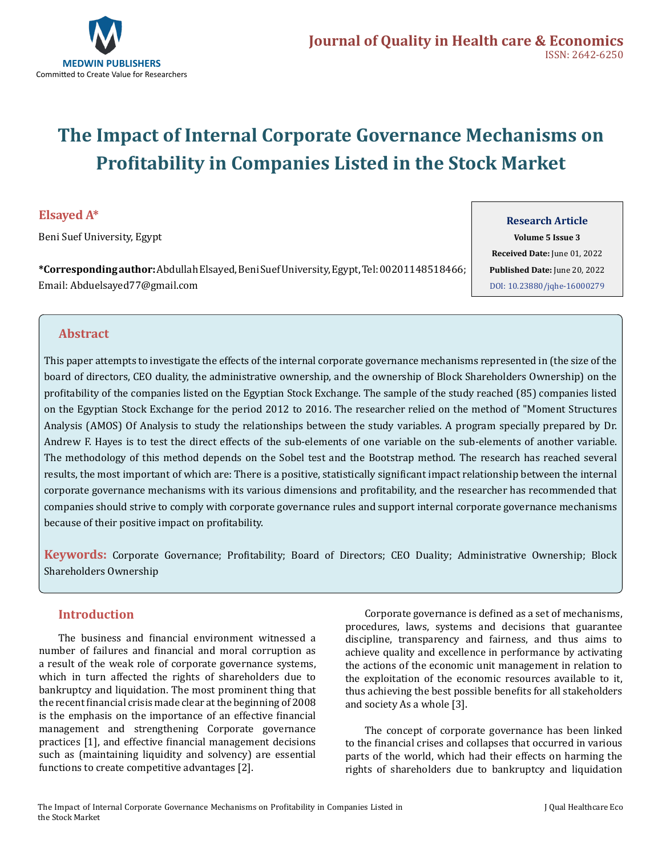

# **The Impact of Internal Corporate Governance Mechanisms on Profitability in Companies Listed in the Stock Market**

# **Elsayed A\***

Beni Suef University, Egypt

**\*Corresponding author:** Abdullah Elsayed, Beni Suef University, Egypt, Tel: 00201148518466; Email: Abduelsayed77@gmail.com

**Research Article Volume 5 Issue 3 Received Date:** June 01, 2022 **Published Date:** June 20, 2022 [DOI: 10.23880/jqhe-16000279](https://doi.org/10.23880/jqhe-16000279)

# **Abstract**

This paper attempts to investigate the effects of the internal corporate governance mechanisms represented in (the size of the board of directors, CEO duality, the administrative ownership, and the ownership of Block Shareholders Ownership) on the profitability of the companies listed on the Egyptian Stock Exchange. The sample of the study reached (85) companies listed on the Egyptian Stock Exchange for the period 2012 to 2016. The researcher relied on the method of "Moment Structures Analysis (AMOS) Of Analysis to study the relationships between the study variables. A program specially prepared by Dr. Andrew F. Hayes is to test the direct effects of the sub-elements of one variable on the sub-elements of another variable. The methodology of this method depends on the Sobel test and the Bootstrap method. The research has reached several results, the most important of which are: There is a positive, statistically significant impact relationship between the internal corporate governance mechanisms with its various dimensions and profitability, and the researcher has recommended that companies should strive to comply with corporate governance rules and support internal corporate governance mechanisms because of their positive impact on profitability.

**Keywords:** Corporate Governance; Profitability; Board of Directors; CEO Duality; Administrative Ownership; Block Shareholders Ownership

# **Introduction**

The business and financial environment witnessed a number of failures and financial and moral corruption as a result of the weak role of corporate governance systems, which in turn affected the rights of shareholders due to bankruptcy and liquidation. The most prominent thing that the recent financial crisis made clear at the beginning of 2008 is the emphasis on the importance of an effective financial management and strengthening Corporate governance practices [1], and effective financial management decisions such as (maintaining liquidity and solvency) are essential functions to create competitive advantages [2].

Corporate governance is defined as a set of mechanisms, procedures, laws, systems and decisions that guarantee discipline, transparency and fairness, and thus aims to achieve quality and excellence in performance by activating the actions of the economic unit management in relation to the exploitation of the economic resources available to it, thus achieving the best possible benefits for all stakeholders and society As a whole [3].

The concept of corporate governance has been linked to the financial crises and collapses that occurred in various parts of the world, which had their effects on harming the rights of shareholders due to bankruptcy and liquidation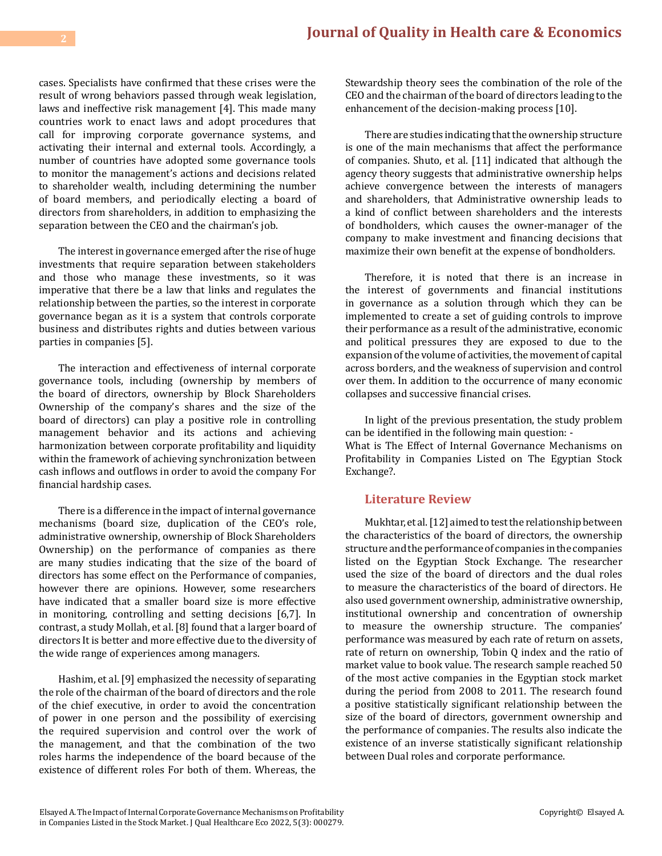cases. Specialists have confirmed that these crises were the result of wrong behaviors passed through weak legislation, laws and ineffective risk management [4]. This made many countries work to enact laws and adopt procedures that call for improving corporate governance systems, and activating their internal and external tools. Accordingly, a number of countries have adopted some governance tools to monitor the management's actions and decisions related to shareholder wealth, including determining the number of board members, and periodically electing a board of directors from shareholders, in addition to emphasizing the separation between the CEO and the chairman's job.

The interest in governance emerged after the rise of huge investments that require separation between stakeholders and those who manage these investments, so it was imperative that there be a law that links and regulates the relationship between the parties, so the interest in corporate governance began as it is a system that controls corporate business and distributes rights and duties between various parties in companies [5].

The interaction and effectiveness of internal corporate governance tools, including (ownership by members of the board of directors, ownership by Block Shareholders Ownership of the company's shares and the size of the board of directors) can play a positive role in controlling management behavior and its actions and achieving harmonization between corporate profitability and liquidity within the framework of achieving synchronization between cash inflows and outflows in order to avoid the company For financial hardship cases.

There is a difference in the impact of internal governance mechanisms (board size, duplication of the CEO's role, administrative ownership, ownership of Block Shareholders Ownership) on the performance of companies as there are many studies indicating that the size of the board of directors has some effect on the Performance of companies, however there are opinions. However, some researchers have indicated that a smaller board size is more effective in monitoring, controlling and setting decisions [6,7]. In contrast, a study Mollah, et al. [8] found that a larger board of directors It is better and more effective due to the diversity of the wide range of experiences among managers.

Hashim, et al. [9] emphasized the necessity of separating the role of the chairman of the board of directors and the role of the chief executive, in order to avoid the concentration of power in one person and the possibility of exercising the required supervision and control over the work of the management, and that the combination of the two roles harms the independence of the board because of the existence of different roles For both of them. Whereas, the Stewardship theory sees the combination of the role of the CEO and the chairman of the board of directors leading to the enhancement of the decision-making process [10].

There are studies indicating that the ownership structure is one of the main mechanisms that affect the performance of companies. Shuto, et al. [11] indicated that although the agency theory suggests that administrative ownership helps achieve convergence between the interests of managers and shareholders, that Administrative ownership leads to a kind of conflict between shareholders and the interests of bondholders, which causes the owner-manager of the company to make investment and financing decisions that maximize their own benefit at the expense of bondholders.

Therefore, it is noted that there is an increase in the interest of governments and financial institutions in governance as a solution through which they can be implemented to create a set of guiding controls to improve their performance as a result of the administrative, economic and political pressures they are exposed to due to the expansion of the volume of activities, the movement of capital across borders, and the weakness of supervision and control over them. In addition to the occurrence of many economic collapses and successive financial crises.

In light of the previous presentation, the study problem can be identified in the following main question: -

What is The Effect of Internal Governance Mechanisms on Profitability in Companies Listed on The Egyptian Stock Exchange?.

#### **Literature Review**

Mukhtar, et al. [12] aimed to test the relationship between the characteristics of the board of directors, the ownership structure and the performance of companies in the companies listed on the Egyptian Stock Exchange. The researcher used the size of the board of directors and the dual roles to measure the characteristics of the board of directors. He also used government ownership, administrative ownership, institutional ownership and concentration of ownership to measure the ownership structure. The companies' performance was measured by each rate of return on assets, rate of return on ownership, Tobin Q index and the ratio of market value to book value. The research sample reached 50 of the most active companies in the Egyptian stock market during the period from 2008 to 2011. The research found a positive statistically significant relationship between the size of the board of directors, government ownership and the performance of companies. The results also indicate the existence of an inverse statistically significant relationship between Dual roles and corporate performance.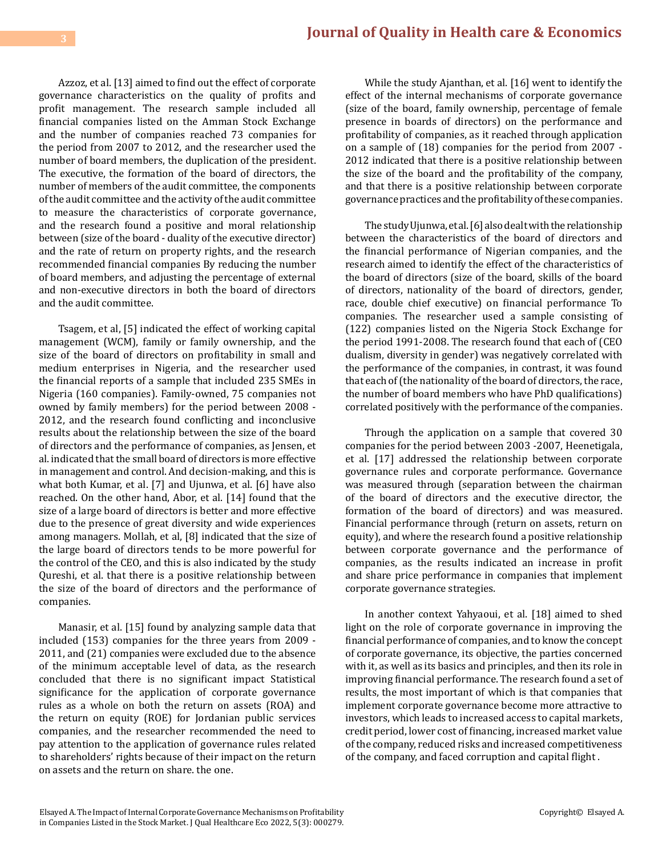Azzoz, et al. [13] aimed to find out the effect of corporate governance characteristics on the quality of profits and profit management. The research sample included all financial companies listed on the Amman Stock Exchange and the number of companies reached 73 companies for the period from 2007 to 2012, and the researcher used the number of board members, the duplication of the president. The executive, the formation of the board of directors, the number of members of the audit committee, the components of the audit committee and the activity of the audit committee to measure the characteristics of corporate governance, and the research found a positive and moral relationship between (size of the board - duality of the executive director) and the rate of return on property rights, and the research recommended financial companies By reducing the number of board members, and adjusting the percentage of external and non-executive directors in both the board of directors and the audit committee.

Tsagem, et al, [5] indicated the effect of working capital management (WCM), family or family ownership, and the size of the board of directors on profitability in small and medium enterprises in Nigeria, and the researcher used the financial reports of a sample that included 235 SMEs in Nigeria (160 companies). Family-owned, 75 companies not owned by family members) for the period between 2008 - 2012, and the research found conflicting and inconclusive results about the relationship between the size of the board of directors and the performance of companies, as Jensen, et al. indicated that the small board of directors is more effective in management and control. And decision-making, and this is what both Kumar, et al. [7] and Ujunwa, et al. [6] have also reached. On the other hand, Abor, et al. [14] found that the size of a large board of directors is better and more effective due to the presence of great diversity and wide experiences among managers. Mollah, et al, [8] indicated that the size of the large board of directors tends to be more powerful for the control of the CEO, and this is also indicated by the study Qureshi, et al. that there is a positive relationship between the size of the board of directors and the performance of companies.

Manasir, et al. [15] found by analyzing sample data that included (153) companies for the three years from 2009 - 2011, and (21) companies were excluded due to the absence of the minimum acceptable level of data, as the research concluded that there is no significant impact Statistical significance for the application of corporate governance rules as a whole on both the return on assets (ROA) and the return on equity (ROE) for Jordanian public services companies, and the researcher recommended the need to pay attention to the application of governance rules related to shareholders' rights because of their impact on the return on assets and the return on share. the one.

While the study Ajanthan, et al. [16] went to identify the effect of the internal mechanisms of corporate governance (size of the board, family ownership, percentage of female presence in boards of directors) on the performance and profitability of companies, as it reached through application on a sample of (18) companies for the period from 2007 - 2012 indicated that there is a positive relationship between the size of the board and the profitability of the company, and that there is a positive relationship between corporate governance practices and the profitability of these companies.

The study Ujunwa, et al. [6] also dealt with the relationship between the characteristics of the board of directors and the financial performance of Nigerian companies, and the research aimed to identify the effect of the characteristics of the board of directors (size of the board, skills of the board of directors, nationality of the board of directors, gender, race, double chief executive) on financial performance To companies. The researcher used a sample consisting of (122) companies listed on the Nigeria Stock Exchange for the period 1991-2008. The research found that each of (CEO dualism, diversity in gender) was negatively correlated with the performance of the companies, in contrast, it was found that each of (the nationality of the board of directors, the race, the number of board members who have PhD qualifications) correlated positively with the performance of the companies.

Through the application on a sample that covered 30 companies for the period between 2003 -2007, Heenetigala, et al. [17] addressed the relationship between corporate governance rules and corporate performance. Governance was measured through (separation between the chairman of the board of directors and the executive director, the formation of the board of directors) and was measured. Financial performance through (return on assets, return on equity), and where the research found a positive relationship between corporate governance and the performance of companies, as the results indicated an increase in profit and share price performance in companies that implement corporate governance strategies.

In another context Yahyaoui, et al. [18] aimed to shed light on the role of corporate governance in improving the financial performance of companies, and to know the concept of corporate governance, its objective, the parties concerned with it, as well as its basics and principles, and then its role in improving financial performance. The research found a set of results, the most important of which is that companies that implement corporate governance become more attractive to investors, which leads to increased access to capital markets, credit period, lower cost of financing, increased market value of the company, reduced risks and increased competitiveness of the company, and faced corruption and capital flight .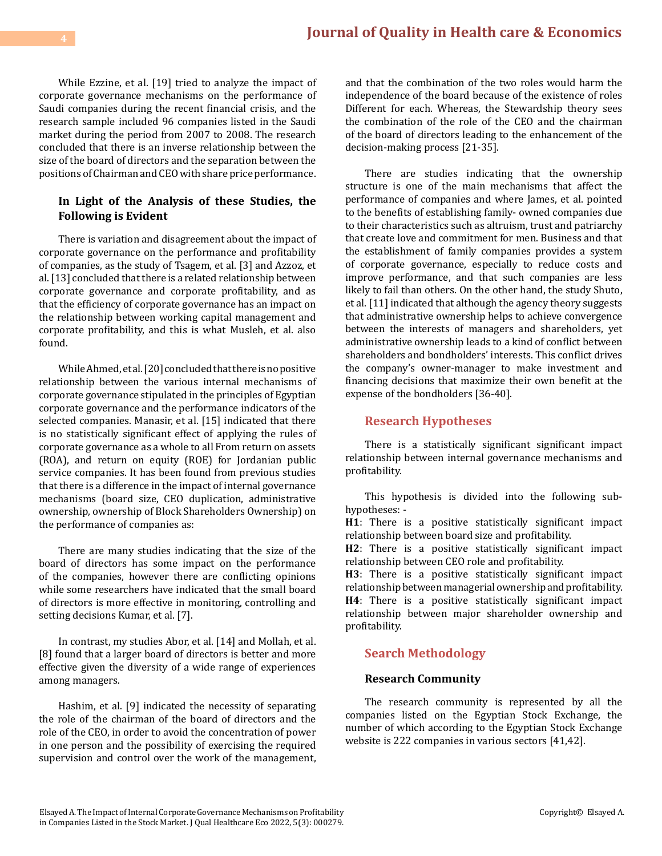While Ezzine, et al. [19] tried to analyze the impact of corporate governance mechanisms on the performance of Saudi companies during the recent financial crisis, and the research sample included 96 companies listed in the Saudi market during the period from 2007 to 2008. The research concluded that there is an inverse relationship between the size of the board of directors and the separation between the positions of Chairman and CEO with share price performance.

# **In Light of the Analysis of these Studies, the Following is Evident**

There is variation and disagreement about the impact of corporate governance on the performance and profitability of companies, as the study of Tsagem, et al. [3] and Azzoz, et al. [13] concluded that there is a related relationship between corporate governance and corporate profitability, and as that the efficiency of corporate governance has an impact on the relationship between working capital management and corporate profitability, and this is what Musleh, et al. also found.

While Ahmed, et al. [20] concluded that there is no positive relationship between the various internal mechanisms of corporate governance stipulated in the principles of Egyptian corporate governance and the performance indicators of the selected companies. Manasir, et al. [15] indicated that there is no statistically significant effect of applying the rules of corporate governance as a whole to all From return on assets (ROA), and return on equity (ROE) for Jordanian public service companies. It has been found from previous studies that there is a difference in the impact of internal governance mechanisms (board size, CEO duplication, administrative ownership, ownership of Block Shareholders Ownership) on the performance of companies as:

There are many studies indicating that the size of the board of directors has some impact on the performance of the companies, however there are conflicting opinions while some researchers have indicated that the small board of directors is more effective in monitoring, controlling and setting decisions Kumar, et al. [7].

In contrast, my studies Abor, et al. [14] and Mollah, et al. [8] found that a larger board of directors is better and more effective given the diversity of a wide range of experiences among managers.

Hashim, et al. [9] indicated the necessity of separating the role of the chairman of the board of directors and the role of the CEO, in order to avoid the concentration of power in one person and the possibility of exercising the required supervision and control over the work of the management, and that the combination of the two roles would harm the independence of the board because of the existence of roles Different for each. Whereas, the Stewardship theory sees the combination of the role of the CEO and the chairman of the board of directors leading to the enhancement of the decision-making process [21-35].

There are studies indicating that the ownership structure is one of the main mechanisms that affect the performance of companies and where James, et al. pointed to the benefits of establishing family- owned companies due to their characteristics such as altruism, trust and patriarchy that create love and commitment for men. Business and that the establishment of family companies provides a system of corporate governance, especially to reduce costs and improve performance, and that such companies are less likely to fail than others. On the other hand, the study Shuto, et al. [11] indicated that although the agency theory suggests that administrative ownership helps to achieve convergence between the interests of managers and shareholders, yet administrative ownership leads to a kind of conflict between shareholders and bondholders' interests. This conflict drives the company's owner-manager to make investment and financing decisions that maximize their own benefit at the expense of the bondholders [36-40].

# **Research Hypotheses**

There is a statistically significant significant impact relationship between internal governance mechanisms and profitability.

This hypothesis is divided into the following subhypotheses: -

**H1**: There is a positive statistically significant impact relationship between board size and profitability.

**H2**: There is a positive statistically significant impact relationship between CEO role and profitability.

**H3**: There is a positive statistically significant impact relationship between managerial ownership and profitability. **H4**: There is a positive statistically significant impact relationship between major shareholder ownership and profitability.

## **Search Methodology**

#### **Research Community**

The research community is represented by all the companies listed on the Egyptian Stock Exchange, the number of which according to the Egyptian Stock Exchange website is 222 companies in various sectors [41,42].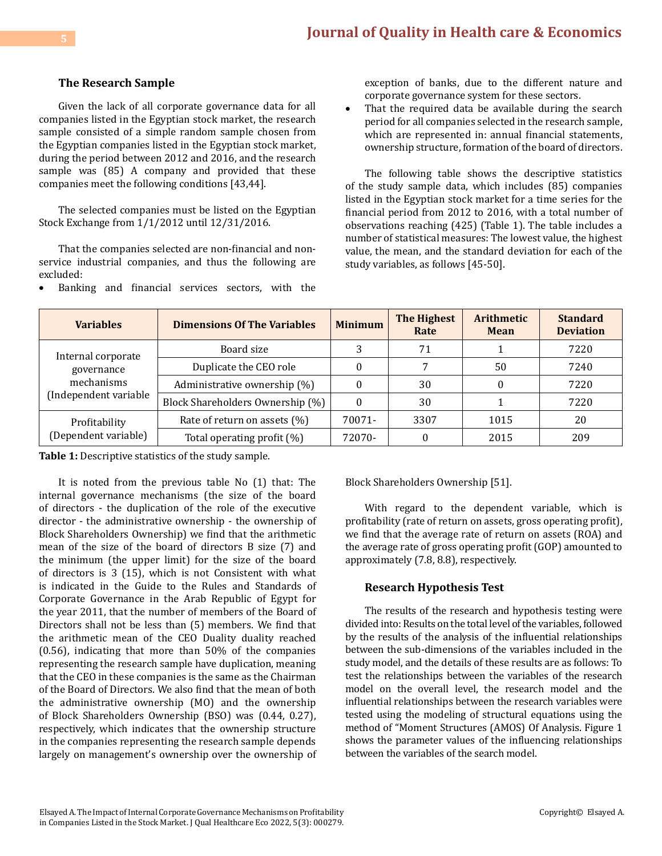#### **The Research Sample**

Given the lack of all corporate governance data for all companies listed in the Egyptian stock market, the research sample consisted of a simple random sample chosen from the Egyptian companies listed in the Egyptian stock market, during the period between 2012 and 2016, and the research sample was (85) A company and provided that these companies meet the following conditions [43,44].

The selected companies must be listed on the Egyptian Stock Exchange from 1/1/2012 until 12/31/2016.

That the companies selected are non-financial and nonservice industrial companies, and thus the following are excluded:

Banking and financial services sectors, with the

exception of banks, due to the different nature and corporate governance system for these sectors.

That the required data be available during the search period for all companies selected in the research sample, which are represented in: annual financial statements, ownership structure, formation of the board of directors.

The following table shows the descriptive statistics of the study sample data, which includes (85) companies listed in the Egyptian stock market for a time series for the financial period from 2012 to 2016, with a total number of observations reaching (425) (Table 1). The table includes a number of statistical measures: The lowest value, the highest value, the mean, and the standard deviation for each of the study variables, as follows [45-50].

| <b>Variables</b>                                                        | <b>Dimensions Of The Variables</b> | <b>Minimum</b> | <b>The Highest</b><br>Rate | <b>Arithmetic</b><br><b>Mean</b> | <b>Standard</b><br><b>Deviation</b> |
|-------------------------------------------------------------------------|------------------------------------|----------------|----------------------------|----------------------------------|-------------------------------------|
| Internal corporate<br>governance<br>mechanisms<br>(Independent variable | Board size                         |                | 71                         |                                  | 7220                                |
|                                                                         | Duplicate the CEO role             |                |                            | 50                               | 7240                                |
|                                                                         | Administrative ownership (%)       |                | 30                         |                                  | 7220                                |
|                                                                         | Block Shareholders Ownership (%)   |                | 30                         |                                  | 7220                                |
| Profitability<br>(Dependent variable)                                   | Rate of return on assets (%)       | 70071-         | 3307                       | 1015                             | 20                                  |
|                                                                         | Total operating profit (%)         | 72070-         |                            | 2015                             | 209                                 |

**Table 1:** Descriptive statistics of the study sample.

It is noted from the previous table No (1) that: The internal governance mechanisms (the size of the board of directors - the duplication of the role of the executive director - the administrative ownership - the ownership of Block Shareholders Ownership) we find that the arithmetic mean of the size of the board of directors B size (7) and the minimum (the upper limit) for the size of the board of directors is 3 (15), which is not Consistent with what is indicated in the Guide to the Rules and Standards of Corporate Governance in the Arab Republic of Egypt for the year 2011, that the number of members of the Board of Directors shall not be less than (5) members. We find that the arithmetic mean of the CEO Duality duality reached (0.56), indicating that more than 50% of the companies representing the research sample have duplication, meaning that the CEO in these companies is the same as the Chairman of the Board of Directors. We also find that the mean of both the administrative ownership (MO) and the ownership of Block Shareholders Ownership (BSO) was (0.44, 0.27), respectively, which indicates that the ownership structure in the companies representing the research sample depends largely on management's ownership over the ownership of Block Shareholders Ownership [51].

With regard to the dependent variable, which is profitability (rate of return on assets, gross operating profit), we find that the average rate of return on assets (ROA) and the average rate of gross operating profit (GOP) amounted to approximately (7.8, 8.8), respectively.

#### **Research Hypothesis Test**

The results of the research and hypothesis testing were divided into: Results on the total level of the variables, followed by the results of the analysis of the influential relationships between the sub-dimensions of the variables included in the study model, and the details of these results are as follows: To test the relationships between the variables of the research model on the overall level, the research model and the influential relationships between the research variables were tested using the modeling of structural equations using the method of "Moment Structures (AMOS) Of Analysis. Figure 1 shows the parameter values of the influencing relationships between the variables of the search model.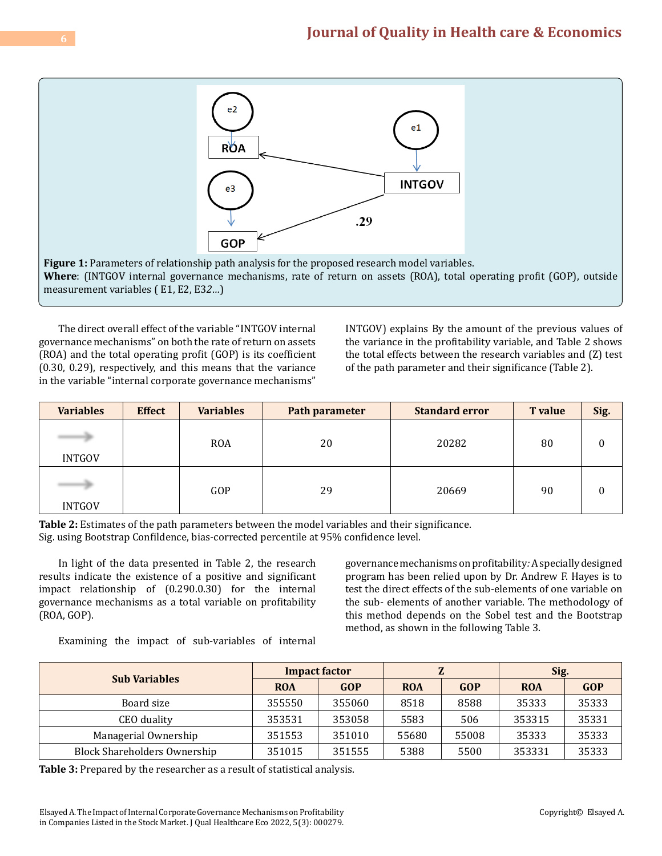

The direct overall effect of the variable "INTGOV internal governance mechanisms" on both the rate of return on assets (ROA) and the total operating profit (GOP) is its coefficient (0.30, 0.29), respectively, and this means that the variance in the variable "internal corporate governance mechanisms"

INTGOV) explains By the amount of the previous values of the variance in the profitability variable, and Table 2 shows the total effects between the research variables and (Z) test of the path parameter and their significance (Table 2).

| <b>Variables</b> | <b>Effect</b> | <b>Variables</b> | Path parameter | <b>Standard error</b> | <b>T</b> value | Sig. |
|------------------|---------------|------------------|----------------|-----------------------|----------------|------|
| <b>INTGOV</b>    |               | <b>ROA</b>       | 20             | 20282                 | 80             | 0    |
| <b>INTGOV</b>    |               | GOP              | 29             | 20669                 | 90             | 0    |

**Table 2:** Estimates of the path parameters between the model variables and their significance. Sig. using Bootstrap Confildence, bias-corrected percentile at 95% confidence level.

In light of the data presented in Table 2, the research results indicate the existence of a positive and significant impact relationship of (0.290.0.30) for the internal governance mechanisms as a total variable on profitability (ROA, GOP).

governance mechanisms on profitability*:* A specially designed program has been relied upon by Dr. Andrew F. Hayes is to test the direct effects of the sub-elements of one variable on the sub- elements of another variable. The methodology of this method depends on the Sobel test and the Bootstrap method, as shown in the following Table 3.

Examining the impact of sub-variables of internal

| <b>Sub Variables</b>                | <b>Impact factor</b> |        |            |            | Sig.       |            |
|-------------------------------------|----------------------|--------|------------|------------|------------|------------|
|                                     | <b>ROA</b>           | GOP    | <b>ROA</b> | <b>GOP</b> | <b>ROA</b> | <b>GOP</b> |
| Board size                          | 355550               | 355060 | 8518       | 8588       | 35333      | 35333      |
| CEO duality                         | 353531               | 353058 | 5583       | 506        | 353315     | 35331      |
| Managerial Ownership                | 351553               | 351010 | 55680      | 55008      | 35333      | 35333      |
| <b>Block Shareholders Ownership</b> | 351015               | 351555 | 5388       | 5500       | 353331     | 35333      |

**Table 3:** Prepared by the researcher as a result of statistical analysis.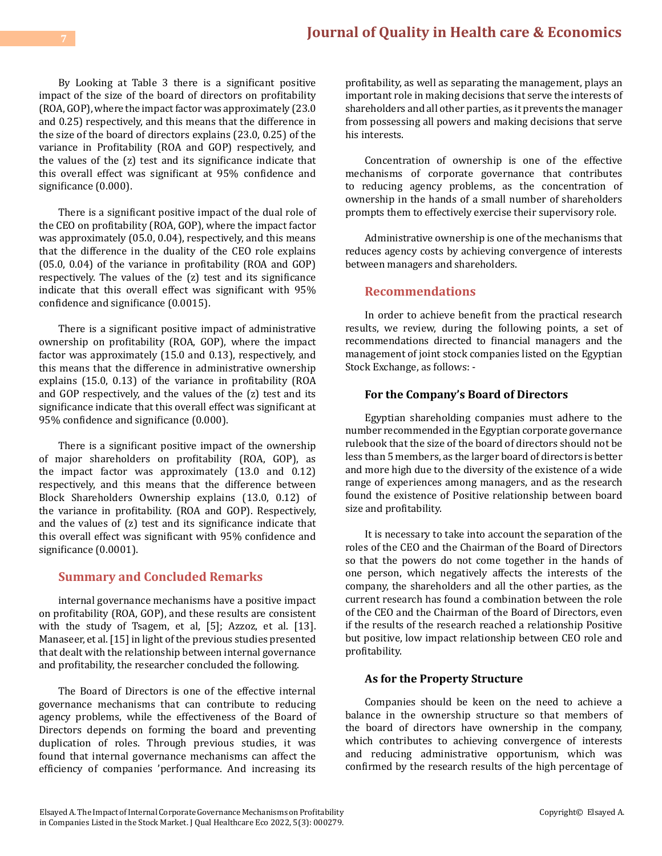# **[Journal of Quality in Health care & Economics](https://medwinpublishers.com/JQHE/) <sup>7</sup>**

By Looking at Table 3 there is a significant positive impact of the size of the board of directors on profitability (ROA, GOP), where the impact factor was approximately (23.0 and 0.25) respectively, and this means that the difference in the size of the board of directors explains (23.0, 0.25) of the variance in Profitability (ROA and GOP) respectively, and the values of the (z) test and its significance indicate that this overall effect was significant at 95% confidence and significance (0.000).

There is a significant positive impact of the dual role of the CEO on profitability (ROA, GOP), where the impact factor was approximately (05.0, 0.04), respectively, and this means that the difference in the duality of the CEO role explains (05.0, 0.04) of the variance in profitability (ROA and GOP) respectively. The values of the (z) test and its significance indicate that this overall effect was significant with 95% confidence and significance (0.0015).

There is a significant positive impact of administrative ownership on profitability (ROA, GOP), where the impact factor was approximately (15.0 and 0.13), respectively, and this means that the difference in administrative ownership explains (15.0, 0.13) of the variance in profitability (ROA and GOP respectively, and the values of the (z) test and its significance indicate that this overall effect was significant at 95% confidence and significance (0.000).

There is a significant positive impact of the ownership of major shareholders on profitability (ROA, GOP), as the impact factor was approximately (13.0 and 0.12) respectively, and this means that the difference between Block Shareholders Ownership explains (13.0, 0.12) of the variance in profitability. (ROA and GOP). Respectively, and the values of (z) test and its significance indicate that this overall effect was significant with 95% confidence and significance (0.0001).

#### **Summary and Concluded Remarks**

internal governance mechanisms have a positive impact on profitability (ROA, GOP), and these results are consistent with the study of Tsagem, et al, [5]; Azzoz, et al. [13]. Manaseer, et al. [15] in light of the previous studies presented that dealt with the relationship between internal governance and profitability, the researcher concluded the following.

The Board of Directors is one of the effective internal governance mechanisms that can contribute to reducing agency problems, while the effectiveness of the Board of Directors depends on forming the board and preventing duplication of roles. Through previous studies, it was found that internal governance mechanisms can affect the efficiency of companies 'performance. And increasing its

profitability, as well as separating the management, plays an important role in making decisions that serve the interests of shareholders and all other parties, as it prevents the manager from possessing all powers and making decisions that serve his interests.

Concentration of ownership is one of the effective mechanisms of corporate governance that contributes to reducing agency problems, as the concentration of ownership in the hands of a small number of shareholders prompts them to effectively exercise their supervisory role.

Administrative ownership is one of the mechanisms that reduces agency costs by achieving convergence of interests between managers and shareholders.

# **Recommendations**

In order to achieve benefit from the practical research results, we review, during the following points, a set of recommendations directed to financial managers and the management of joint stock companies listed on the Egyptian Stock Exchange, as follows: -

#### **For the Company's Board of Directors**

Egyptian shareholding companies must adhere to the number recommended in the Egyptian corporate governance rulebook that the size of the board of directors should not be less than 5 members, as the larger board of directors is better and more high due to the diversity of the existence of a wide range of experiences among managers, and as the research found the existence of Positive relationship between board size and profitability.

It is necessary to take into account the separation of the roles of the CEO and the Chairman of the Board of Directors so that the powers do not come together in the hands of one person, which negatively affects the interests of the company, the shareholders and all the other parties, as the current research has found a combination between the role of the CEO and the Chairman of the Board of Directors, even if the results of the research reached a relationship Positive but positive, low impact relationship between CEO role and profitability.

#### **As for the Property Structure**

Companies should be keen on the need to achieve a balance in the ownership structure so that members of the board of directors have ownership in the company, which contributes to achieving convergence of interests and reducing administrative opportunism, which was confirmed by the research results of the high percentage of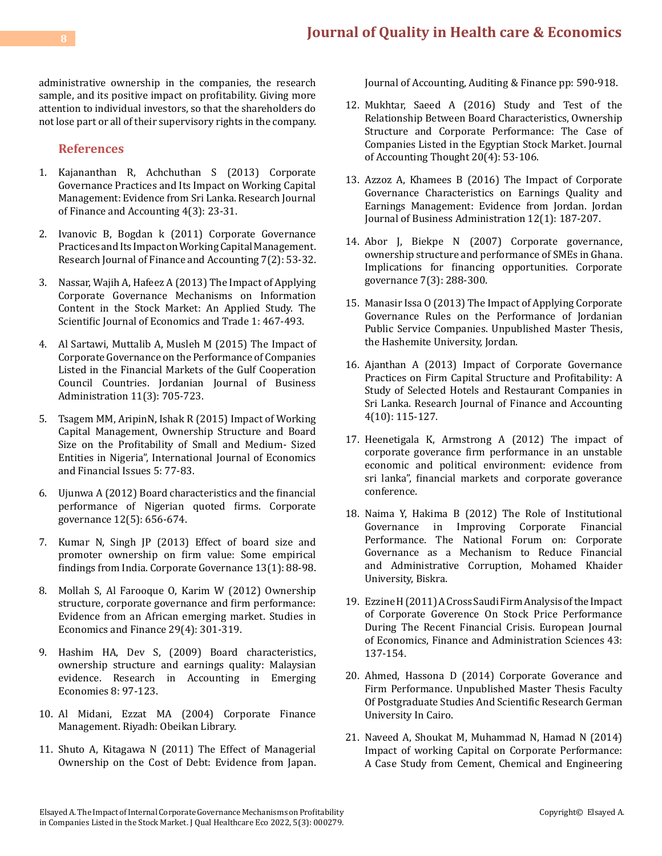administrative ownership in the companies, the research sample, and its positive impact on profitability. Giving more attention to individual investors, so that the shareholders do not lose part or all of their supervisory rights in the company.

# **References**

- 1. [Kajananthan R, Achchuthan S \(2013\) Corporate](http://citeseerx.ist.psu.edu/viewdoc/download?doi=10.1.1.904.7812&rep=rep1&type=pdf) [Governance Practices and Its Impact on Working Capital](http://citeseerx.ist.psu.edu/viewdoc/download?doi=10.1.1.904.7812&rep=rep1&type=pdf) [Management: Evidence from Sri Lanka. Research Journal](http://citeseerx.ist.psu.edu/viewdoc/download?doi=10.1.1.904.7812&rep=rep1&type=pdf) [of Finance and Accounting 4\(3\): 23-31.](http://citeseerx.ist.psu.edu/viewdoc/download?doi=10.1.1.904.7812&rep=rep1&type=pdf)
- 2. Ivanovic B, Bogdan k (2011) Corporate Governance Practices and Its Impact on Working Capital Management. Research Journal of Finance and Accounting 7(2): 53-32.
- 3. [Nassar, Wajih A, Hafeez A \(2013\) The Impact of Applying](https://papers.ssrn.com/sol3/papers.cfm?abstract_id=3817509) [Corporate Governance Mechanisms on Information](https://papers.ssrn.com/sol3/papers.cfm?abstract_id=3817509) [Content in the Stock Market: An Applied Study. The](https://papers.ssrn.com/sol3/papers.cfm?abstract_id=3817509) [Scientific Journal of Economics and Trade 1: 467-493.](https://papers.ssrn.com/sol3/papers.cfm?abstract_id=3817509)
- 4. Al Sartawi, [Muttalib A, Musleh M \(2015\) The Impact of](https://ideas.repec.org/a/eee/riibaf/v51y2020ics0275531918308183.html) [Corporate Governance on the Performance of Companies](https://ideas.repec.org/a/eee/riibaf/v51y2020ics0275531918308183.html) [Listed in the Financial Markets of the Gulf Cooperation](https://ideas.repec.org/a/eee/riibaf/v51y2020ics0275531918308183.html) [Council Countries. Jordanian Journal of Business](https://ideas.repec.org/a/eee/riibaf/v51y2020ics0275531918308183.html) [Administration 11\(3\): 705-723.](https://ideas.repec.org/a/eee/riibaf/v51y2020ics0275531918308183.html)
- 5. [Tsagem MM, AripinN, Ishak R \(2015\) Impact of Working](https://www.econjournals.com/index.php/ijefi/article/view/1346) Capital Management, [Ownership Structure and Board](https://www.econjournals.com/index.php/ijefi/article/view/1346) [Size on the Profitability of Small and Medium- Sized](https://www.econjournals.com/index.php/ijefi/article/view/1346) [Entities in Nigeria", International Journal of Economics](https://www.econjournals.com/index.php/ijefi/article/view/1346) [and Financial Issues 5: 77-83.](https://www.econjournals.com/index.php/ijefi/article/view/1346)
- 6. [Ujunwa A \(2012\) Board characteristics and the financial](https://www.emerald.com/insight/content/doi/10.1108/14720701211275587/full/html) [performance of Nigerian quoted firms. Corporate](https://www.emerald.com/insight/content/doi/10.1108/14720701211275587/full/html) [governance 12\(5\): 656-674.](https://www.emerald.com/insight/content/doi/10.1108/14720701211275587/full/html)
- 7. [Kumar N, Singh JP \(2013\) Effect of board size and](https://www.emerald.com/insight/content/doi/10.1108/14720701311302431/full/html) [promoter ownership on firm value: Some empirical](https://www.emerald.com/insight/content/doi/10.1108/14720701311302431/full/html) findings [from India. Corporate Governance 13\(1\): 88-98.](https://www.emerald.com/insight/content/doi/10.1108/14720701311302431/full/html)
- 8. [Mollah S, Al Farooque O, Karim W \(2012\) Ownership](https://www.emerald.com/insight/content/doi/10.1108/10867371211266937/full/html) structure, [corporate governance and firm performance:](https://www.emerald.com/insight/content/doi/10.1108/10867371211266937/full/html) [Evidence from an African emerging market. Studies in](https://www.emerald.com/insight/content/doi/10.1108/10867371211266937/full/html) [Economics and Finance 29\(4\): 301-319.](https://www.emerald.com/insight/content/doi/10.1108/10867371211266937/full/html)
- 9. [Hashim HA, Dev S, \(2009\) Board characteristics,](https://www.emerald.com/insight/content/doi/10.1016/S1479-3563(08)08004-3/full/html) [ownership structure and earnings quality: Malaysian](https://www.emerald.com/insight/content/doi/10.1016/S1479-3563(08)08004-3/full/html) [evidence. Research in Accounting in Emerging](https://www.emerald.com/insight/content/doi/10.1016/S1479-3563(08)08004-3/full/html) [Economies 8: 97-123.](https://www.emerald.com/insight/content/doi/10.1016/S1479-3563(08)08004-3/full/html)
- 10. Al Midani, Ezzat MA (2004) Corporate Finance Management. Riyadh: Obeikan Library.
- 11. [Shuto A, Kitagawa N \(2011\) The Effect of Managerial](https://journals.sagepub.com/doi/abs/10.1177/0148558X11401553) [Ownership on the Cost of Debt: Evidence from Japan.](https://journals.sagepub.com/doi/abs/10.1177/0148558X11401553)

[Journal of Accounting, Auditing & Finance pp: 590-918.](https://journals.sagepub.com/doi/abs/10.1177/0148558X11401553)

- 12. Mukhtar, Saeed A (2016) Study and Test of the Relationship Between Board Characteristics, Ownership Structure and Corporate Performance: The Case of Companies Listed in the Egyptian Stock Market. Journal of Accounting Thought 20(4): 53-106.
- 13. [Azzoz A, Khamees B \(2016\) The Impact of Corporate](https://journals.ju.edu.jo/JJBA/article/viewFile/9414/4864) [Governance Characteristics on Earnings Quality and](https://journals.ju.edu.jo/JJBA/article/viewFile/9414/4864) [Earnings Management: Evidence from Jordan. Jordan](https://journals.ju.edu.jo/JJBA/article/viewFile/9414/4864)  [Journal of Business Administration 12\(1\): 187-207.](https://journals.ju.edu.jo/JJBA/article/viewFile/9414/4864)
- 14. [Abor J, Biekpe N \(2007\) Corporate governance,](https://www.emerald.com/insight/content/doi/10.1108/14720700710756562/full/html) [ownership structure and performance of SMEs in Ghana.](https://www.emerald.com/insight/content/doi/10.1108/14720700710756562/full/html)  [Implications for financing opportunities. Corporate](https://www.emerald.com/insight/content/doi/10.1108/14720700710756562/full/html) [governance 7\(3\): 288-300.](https://www.emerald.com/insight/content/doi/10.1108/14720700710756562/full/html)
- 15. Manasir Issa O (2013) The Impact of Applying Corporate Governance Rules on the Performance of Jordanian Public Service Companies. Unpublished Master Thesis, the Hashemite University, Jordan.
- 16. Ajanthan A (2013) Impact of Corporate Governance Practices on Firm Capital Structure and Profitability: A Study of Selected Hotels and Restaurant Companies in Sri Lanka. Research Journal of Finance and Accounting 4(10): 115-127.
- 17. [Heenetigala K, Armstrong A \(2012\) The impact of](https://papers.ssrn.com/sol3/papers.cfm?abstract_id=1971927) [corporate goverance firm performance in an unstable](https://papers.ssrn.com/sol3/papers.cfm?abstract_id=1971927)  [economic and political environment: evidence from](https://papers.ssrn.com/sol3/papers.cfm?abstract_id=1971927)  [sri lanka", financial markets and corporate goverance](https://papers.ssrn.com/sol3/papers.cfm?abstract_id=1971927)  [conference.](https://papers.ssrn.com/sol3/papers.cfm?abstract_id=1971927)
- 18. Naima Y, Hakima B (2012) The Role of Institutional Corporate Financial Performance. The National Forum on: Corporate Governance as a Mechanism to Reduce Financial and Administrative Corruption, Mohamed Khaider University, Biskra.
- 19. Ezzine H (2011) A Cross Saudi Firm Analysis of the Impact of Corporate Goverence On Stock Price Performance During The Recent Financial Crisis. European Journal of Economics, Finance and Administration Sciences 43: 137-154.
- 20. [Ahmed, Hassona D \(2014\) Corporate Goverance and](https://vuir.vu.edu.au/25985/1/Khaled%20Abdelkadar%20Muftah%20Otman.pdf)  [Firm Performance. Unpublished Master Thesis](https://vuir.vu.edu.au/25985/1/Khaled%20Abdelkadar%20Muftah%20Otman.pdf) Faculty [Of Postgraduate Studies And Scientific Research German](https://vuir.vu.edu.au/25985/1/Khaled%20Abdelkadar%20Muftah%20Otman.pdf) [University In Cairo.](https://vuir.vu.edu.au/25985/1/Khaled%20Abdelkadar%20Muftah%20Otman.pdf)
- 21. [Naveed A, Shoukat M, Muhammad N, Hamad N \(2014\)](https://www.arabianjbmr.com/pdfs/OM_VOL_3_(7)/2.pdf) [Impact of working Capital on Corporate Performance:](https://www.arabianjbmr.com/pdfs/OM_VOL_3_(7)/2.pdf) [A Case Study from Cement, Chemical and Engineering](https://www.arabianjbmr.com/pdfs/OM_VOL_3_(7)/2.pdf)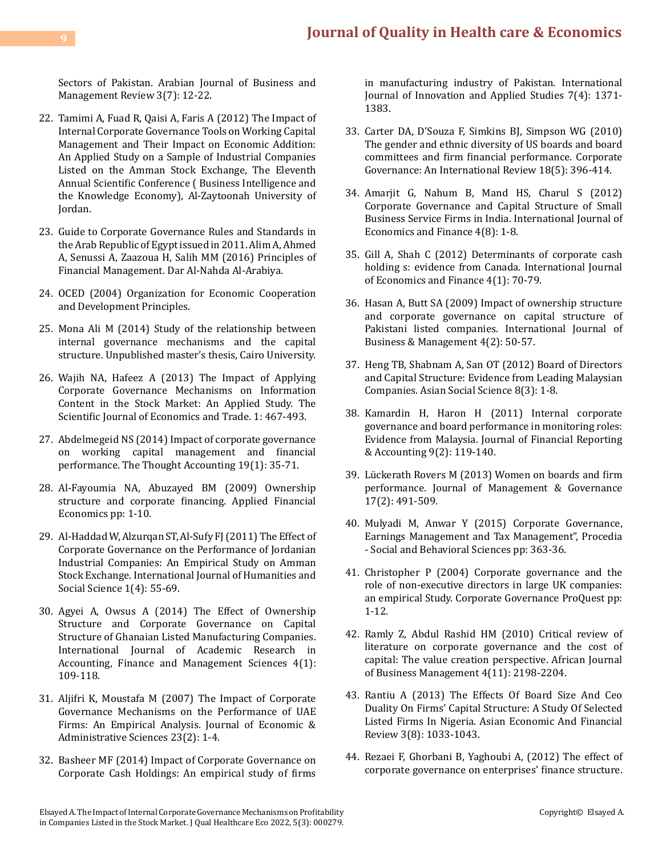[Sectors of Pakistan. Arabian Journal of Business and](https://www.arabianjbmr.com/pdfs/OM_VOL_3_(7)/2.pdf) [Management Review 3\(7\): 12-22.](https://www.arabianjbmr.com/pdfs/OM_VOL_3_(7)/2.pdf)

- 22. [Tamimi A, Fuad R, Qaisi A, Faris A \(2012\) The Impact of](https://papers.ssrn.com/sol3/Delivery.cfm/SSRN_ID3817509_code3377482.pdf?abstractid=3817509&type=2) [Internal Corporate Governance Tools on Working Capital](https://papers.ssrn.com/sol3/Delivery.cfm/SSRN_ID3817509_code3377482.pdf?abstractid=3817509&type=2) [Management and Their Impact on Economic Addition:](https://papers.ssrn.com/sol3/Delivery.cfm/SSRN_ID3817509_code3377482.pdf?abstractid=3817509&type=2) [An Applied Study on a Sample of Industrial Companies](https://papers.ssrn.com/sol3/Delivery.cfm/SSRN_ID3817509_code3377482.pdf?abstractid=3817509&type=2) [Listed on the Amman Stock Exchange, The Eleventh](https://papers.ssrn.com/sol3/Delivery.cfm/SSRN_ID3817509_code3377482.pdf?abstractid=3817509&type=2) [Annual Scientific Conference \( Business Intelligence and](https://papers.ssrn.com/sol3/Delivery.cfm/SSRN_ID3817509_code3377482.pdf?abstractid=3817509&type=2) [the Knowledge Economy\), Al-Zaytoonah University of](https://papers.ssrn.com/sol3/Delivery.cfm/SSRN_ID3817509_code3377482.pdf?abstractid=3817509&type=2) [Jordan.](https://papers.ssrn.com/sol3/Delivery.cfm/SSRN_ID3817509_code3377482.pdf?abstractid=3817509&type=2)
- 23. Guide to Corporate Governance Rules and Standards in the Arab Republic of Egypt issued in 2011. [Alim A, Ahmed](https://www.finance.ucla.edu/corporate-accounting/principles-of-financial-management) [A, Senussi A, Zaazoua H, Salih MM \(2016\) Principles of](https://www.finance.ucla.edu/corporate-accounting/principles-of-financial-management) [Financial Management. Dar Al-Nahda Al-Arabiya.](https://www.finance.ucla.edu/corporate-accounting/principles-of-financial-management)
- 24. [OCED \(2004\) Organization for Economic Cooperation](https://www.scirp.org/(S(lz5mqp453edsnp55rrgjct55))/reference/referencespapers.aspx?referenceid=1851902) [and Development Principles.](https://www.scirp.org/(S(lz5mqp453edsnp55rrgjct55))/reference/referencespapers.aspx?referenceid=1851902)
- 25. Mona Ali M (2014) Study of the relationship between internal governance mechanisms and the capital structure. Unpublished master's thesis, Cairo University.
- 26. Wajih NA, Hafeez A (2013) The Impact of Applying Corporate Governance Mechanisms on Information Content in the Stock Market: An Applied Study. The Scientific Journal of Economics and Trade. 1: 467-493.
- 27. Abdelmegeid NS (2014) Impact of corporate governance on working capital management and financial performance. The Thought Accounting 19(1): 35-71.
- 28. Al-Fayoumia NA, Abuzayed BM (2009) Ownership structure and corporate financing. Applied Financial Economics pp: 1-10.
- 29. [Al-Haddad W, Alzurqan ST, Al-Sufy FJ \(2011\) The Effect](http://www.ijhssnet.com/journals/Vol._1_No._4;_April_2011/8.pdf) of [Corporate Governance on the Performance of Jordanian](http://www.ijhssnet.com/journals/Vol._1_No._4;_April_2011/8.pdf) [Industrial Companies: An Empirical Study on Amman](http://www.ijhssnet.com/journals/Vol._1_No._4;_April_2011/8.pdf) [Stock Exchange. International Journal of Humanities and](http://www.ijhssnet.com/journals/Vol._1_No._4;_April_2011/8.pdf) [Social Science 1\(4\): 55-69.](http://www.ijhssnet.com/journals/Vol._1_No._4;_April_2011/8.pdf)
- 30. [Agyei A, Owsus A \(2014\) The Effect of Ownership](https://econpapers.repec.org/article/hurijaraf/v_3a4_3ay_3a2014_3ai_3a1_3ap_3a109-118.htm) [Structure and Corporate Governance on Capital](https://econpapers.repec.org/article/hurijaraf/v_3a4_3ay_3a2014_3ai_3a1_3ap_3a109-118.htm) [Structure of Ghanaian Listed Manufacturing Companies.](https://econpapers.repec.org/article/hurijaraf/v_3a4_3ay_3a2014_3ai_3a1_3ap_3a109-118.htm) [International Journal of Academic Research in](https://econpapers.repec.org/article/hurijaraf/v_3a4_3ay_3a2014_3ai_3a1_3ap_3a109-118.htm) [Accounting, Finance and Management Sciences 4\(1\):](https://econpapers.repec.org/article/hurijaraf/v_3a4_3ay_3a2014_3ai_3a1_3ap_3a109-118.htm) [109-118.](https://econpapers.repec.org/article/hurijaraf/v_3a4_3ay_3a2014_3ai_3a1_3ap_3a109-118.htm)
- 31. [Aljifri K, Moustafa M \(2007\) The Impact of Corporate](https://www.emerald.com/insight/content/doi/10.1108/10264116200700008/full/html) [Governance Mechanisms on the Performance of UAE](https://www.emerald.com/insight/content/doi/10.1108/10264116200700008/full/html) [Firms: An Empirical Analysis. Journal of Economic &](https://www.emerald.com/insight/content/doi/10.1108/10264116200700008/full/html) [Administrative Sciences 23\(2\): 1-4.](https://www.emerald.com/insight/content/doi/10.1108/10264116200700008/full/html)
- 32. [Basheer MF \(2014\) Impact of Corporate Governance on](http://www.ijias.issr-journals.org/abstract.php?article=IJIAS-14-198-02) [Corporate Cash Holdings: An empirical study of firms](http://www.ijias.issr-journals.org/abstract.php?article=IJIAS-14-198-02)

[in manufacturing industry of Pakistan. International](http://www.ijias.issr-journals.org/abstract.php?article=IJIAS-14-198-02)  [Journal of Innovation and Applied Studies 7\(4\): 1371-](http://www.ijias.issr-journals.org/abstract.php?article=IJIAS-14-198-02) [1383.](http://www.ijias.issr-journals.org/abstract.php?article=IJIAS-14-198-02)

- 33. [Carter DA, D'Souza F, Simkins BJ, Simpson WG \(2010\)](https://onlinelibrary.wiley.com/doi/abs/10.1111/j.1467-8683.2010.00809.x) [The gender and ethnic diversity of US boards and board](https://onlinelibrary.wiley.com/doi/abs/10.1111/j.1467-8683.2010.00809.x) [committees and firm financial performance. Corporate](https://onlinelibrary.wiley.com/doi/abs/10.1111/j.1467-8683.2010.00809.x) [Governance: An International Review 18\(5\): 396-414.](https://onlinelibrary.wiley.com/doi/abs/10.1111/j.1467-8683.2010.00809.x)
- 34. [Amarjit G, Nahum B, Mand HS, Charul S \(2012\)](https://ccsenet.org/journal/index.php/ijef/article/view/18618) [Corporate Governance and Capital Structure of Small](https://ccsenet.org/journal/index.php/ijef/article/view/18618)  [Business Service Firms in India. International Journal of](https://ccsenet.org/journal/index.php/ijef/article/view/18618) [Economics and Finance 4\(8\): 1-8.](https://ccsenet.org/journal/index.php/ijef/article/view/18618)
- 35. [Gill A, Shah C \(2012\) Determinants of corporate cash](https://www.ccsenet.org/journal/index.php/ijef/article/view/13673)  [holding s: evidence from Canada. International Journal](https://www.ccsenet.org/journal/index.php/ijef/article/view/13673) [of Economics and Finance 4\(1\): 70-79.](https://www.ccsenet.org/journal/index.php/ijef/article/view/13673)
- 36. [Hasan A, Butt SA \(2009\) Impact of ownership structure](https://www.ccsenet.org/journal/index.php/ijbm/article/view/491)  [and corporate governance on capital structure of](https://www.ccsenet.org/journal/index.php/ijbm/article/view/491) [Pakistani listed companies. International Journal of](https://www.ccsenet.org/journal/index.php/ijbm/article/view/491)  [Business & Management 4\(2\): 50-57.](https://www.ccsenet.org/journal/index.php/ijbm/article/view/491)
- 37. [Heng TB, Shabnam A, San OT \(2012\) Board of Directors](https://ccsenet.org/journal/index.php/ass/article/view/15384)  [and Capital Structure: Evidence from Leading Malaysian](https://ccsenet.org/journal/index.php/ass/article/view/15384)  [Companies. Asian Social Science 8\(3\): 1-8.](https://ccsenet.org/journal/index.php/ass/article/view/15384)
- 38. [Kamardin H, Haron H \(2011\) Internal corporate](https://www.emerald.com/insight/content/doi/10.1108/19852511111173095/full/html)  [governance and board performance in monitoring roles:](https://www.emerald.com/insight/content/doi/10.1108/19852511111173095/full/html) [Evidence from Malaysia. Journal of Financial Reporting](https://www.emerald.com/insight/content/doi/10.1108/19852511111173095/full/html) [& Accounting 9\(2\): 119-140.](https://www.emerald.com/insight/content/doi/10.1108/19852511111173095/full/html)
- 39. [Lückerath Rovers M \(2013\) Women on boards and firm](https://link.springer.com/article/10.1007/s10997-011-9186-1) [performance. Journal of Management &](https://link.springer.com/article/10.1007/s10997-011-9186-1) Governance [17\(2\): 491-509.](https://link.springer.com/article/10.1007/s10997-011-9186-1)
- 40. [Mulyadi M, Anwar Y \(2015\) Corporate Governance,](https://www.sciencedirect.com/science/article/pii/S1877042815017152) [Earnings Management and Tax Management", Procedia](https://www.sciencedirect.com/science/article/pii/S1877042815017152) [- Social and Behavioral Sciences pp: 363-36.](https://www.sciencedirect.com/science/article/pii/S1877042815017152)
- 41. [Christopher P \(2004\) Corporate governance and the](https://www.proquest.com/scholarly-journals/corporate-governance-u-k-audit-committees/docview/1011564871/se-2) [role of non-executive directors in large UK companies:](https://www.proquest.com/scholarly-journals/corporate-governance-u-k-audit-committees/docview/1011564871/se-2) [an empirical Study. Corporate Governance ProQuest pp:](https://www.proquest.com/scholarly-journals/corporate-governance-u-k-audit-committees/docview/1011564871/se-2)  [1-12.](https://www.proquest.com/scholarly-journals/corporate-governance-u-k-audit-committees/docview/1011564871/se-2)
- 42. Ramly Z, Abdul Rashid [HM \(2010\) Critical review of](https://www.internationalscholarsjournals.com/abstract/critical-review-of-literature-on-corporate-governance-and-the-cost-of-capital-the-value-creation-perspective-66961.html) [literature on corporate governance and the cost of](https://www.internationalscholarsjournals.com/abstract/critical-review-of-literature-on-corporate-governance-and-the-cost-of-capital-the-value-creation-perspective-66961.html)  [capital: The value creation perspective. African Journal](https://www.internationalscholarsjournals.com/abstract/critical-review-of-literature-on-corporate-governance-and-the-cost-of-capital-the-value-creation-perspective-66961.html) [of Business Management 4\(11\): 2198-2204.](https://www.internationalscholarsjournals.com/abstract/critical-review-of-literature-on-corporate-governance-and-the-cost-of-capital-the-value-creation-perspective-66961.html)
- 43. [Rantiu A \(2013\) The Effects Of Board Size And Ceo](https://archive.aessweb.com/index.php/5002/article/view/1069) [Duality On Firms' Capital Structure: A Study Of Selected](https://archive.aessweb.com/index.php/5002/article/view/1069)  [Listed Firms In Nigeria. Asian Economic And Financial](https://archive.aessweb.com/index.php/5002/article/view/1069)  [Review 3\(8\): 1033-1043.](https://archive.aessweb.com/index.php/5002/article/view/1069)
- 44. Rezaei F, Ghorbani B, Yaghoubi A, (2012) The effect of corporate governance on enterprises' finance structure.